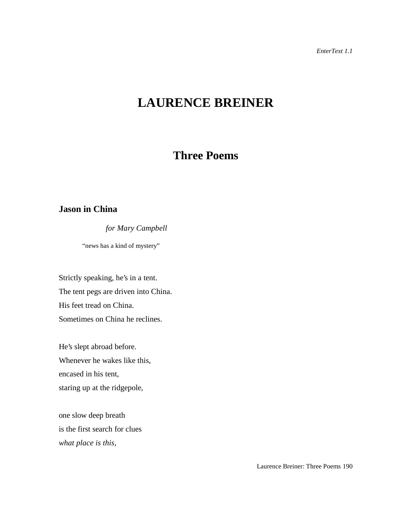# **LAURENCE BREINER**

## **Three Poems**

## **Jason in China**

*for Mary Campbell*

"news has a kind of mystery"

Strictly speaking, he's in a tent. The tent pegs are driven into China. His feet tread on China. Sometimes on China he reclines.

He's slept abroad before. Whenever he wakes like this, encased in his tent, staring up at the ridgepole,

one slow deep breath is the first search for clues *what place is this,*

Laurence Breiner: Three Poems 190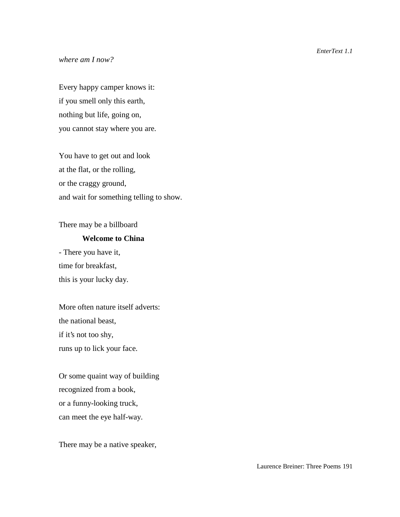#### *where am I now?*

Every happy camper knows it: if you smell only this earth, nothing but life, going on, you cannot stay where you are.

You have to get out and look at the flat, or the rolling, or the craggy ground, and wait for something telling to show.

There may be a billboard

#### **Welcome to China**

- There you have it, time for breakfast, this is your lucky day.

More often nature itself adverts: the national beast, if it's not too shy, runs up to lick your face.

Or some quaint way of building recognized from a book, or a funny-looking truck, can meet the eye half-way.

There may be a native speaker,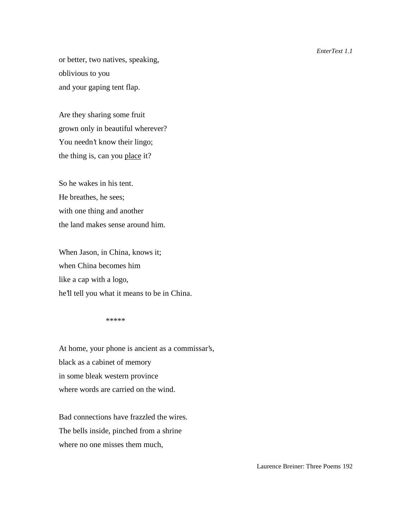or better, two natives, speaking, oblivious to you and your gaping tent flap.

Are they sharing some fruit grown only in beautiful wherever? You needn't know their lingo; the thing is, can you place it?

So he wakes in his tent. He breathes, he sees; with one thing and another the land makes sense around him.

When Jason, in China, knows it; when China becomes him like a cap with a logo, he'll tell you what it means to be in China.

\*\*\*\*\*

At home, your phone is ancient as a commissar's, black as a cabinet of memory in some bleak western province where words are carried on the wind.

Bad connections have frazzled the wires. The bells inside, pinched from a shrine where no one misses them much.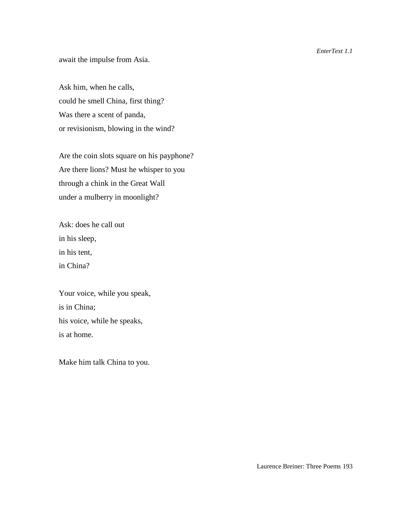await the impulse from Asia.

Ask him, when he calls, could he smell China, first thing? Was there a scent of panda, or revisionism, blowing in the wind?

Are the coin slots square on his payphone? Are there lions? Must he whisper to you through a chink in the Great Wall under a mulberry in moonlight?

Ask: does he call out in his sleep, in his tent, in China?

Your voice, while you speak, is in China; his voice, while he speaks, is at home.

Make him talk China to you.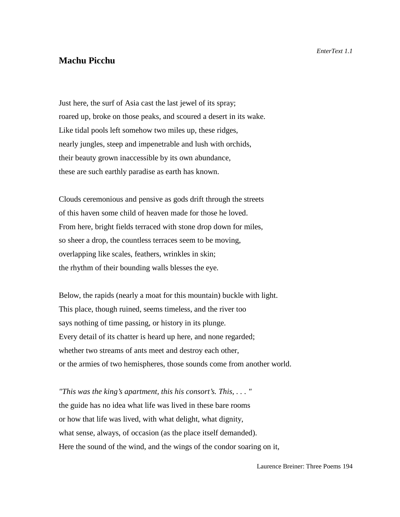### **Machu Picchu**

Just here, the surf of Asia cast the last jewel of its spray; roared up, broke on those peaks, and scoured a desert in its wake. Like tidal pools left somehow two miles up, these ridges, nearly jungles, steep and impenetrable and lush with orchids, their beauty grown inaccessible by its own abundance, these are such earthly paradise as earth has known.

Clouds ceremonious and pensive as gods drift through the streets of this haven some child of heaven made for those he loved. From here, bright fields terraced with stone drop down for miles, so sheer a drop, the countless terraces seem to be moving, overlapping like scales, feathers, wrinkles in skin; the rhythm of their bounding walls blesses the eye.

Below, the rapids (nearly a moat for this mountain) buckle with light. This place, though ruined, seems timeless, and the river too says nothing of time passing, or history in its plunge. Every detail of its chatter is heard up here, and none regarded; whether two streams of ants meet and destroy each other, or the armies of two hemispheres, those sounds come from another world.

*"This was the king's apartment, this his consort's. This, . . . "* the guide has no idea what life was lived in these bare rooms or how that life was lived, with what delight, what dignity, what sense, always, of occasion (as the place itself demanded). Here the sound of the wind, and the wings of the condor soaring on it,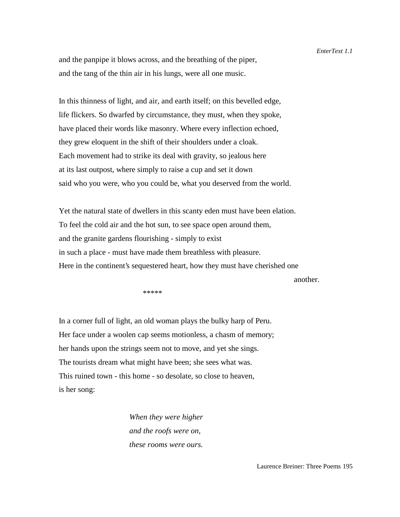and the panpipe it blows across, and the breathing of the piper, and the tang of the thin air in his lungs, were all one music.

In this thinness of light, and air, and earth itself; on this bevelled edge, life flickers. So dwarfed by circumstance, they must, when they spoke, have placed their words like masonry. Where every inflection echoed, they grew eloquent in the shift of their shoulders under a cloak. Each movement had to strike its deal with gravity, so jealous here at its last outpost, where simply to raise a cup and set it down said who you were, who you could be, what you deserved from the world.

Yet the natural state of dwellers in this scanty eden must have been elation. To feel the cold air and the hot sun, to see space open around them, and the granite gardens flourishing - simply to exist in such a place - must have made them breathless with pleasure. Here in the continent's sequestered heart, how they must have cherished one

another.

 $******$ 

In a corner full of light, an old woman plays the bulky harp of Peru. Her face under a woolen cap seems motionless, a chasm of memory; her hands upon the strings seem not to move, and yet she sings. The tourists dream what might have been; she sees what was. This ruined town - this home - so desolate, so close to heaven, is her song:

> *When they were higher and the roofs were on, these rooms were ours.*

Laurence Breiner: Three Poems 195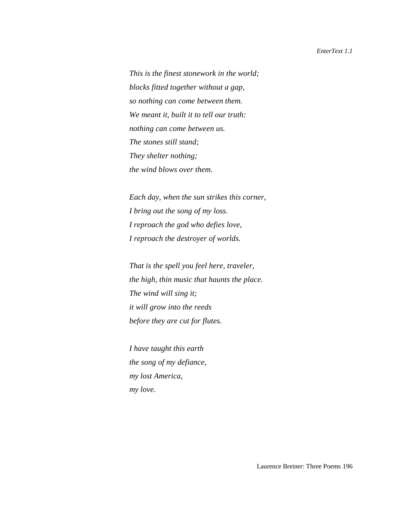*This is the finest stonework in the world; blocks fitted together without a gap, so nothing can come between them. We meant it, built it to tell our truth: nothing can come between us. The stones still stand; They shelter nothing; the wind blows over them.*

*Each day, when the sun strikes this corner, I bring out the song of my loss. I reproach the god who defies love, I reproach the destroyer of worlds.*

*That is the spell you feel here, traveler, the high, thin music that haunts the place. The wind will sing it; it will grow into the reeds before they are cut for flutes.*

*I have taught this earth the song of my defiance, my lost America, my love.*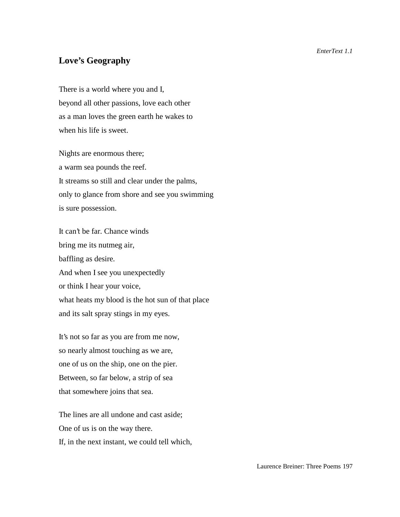## **Love's Geography**

There is a world where you and I, beyond all other passions, love each other as a man loves the green earth he wakes to when his life is sweet.

Nights are enormous there; a warm sea pounds the reef. It streams so still and clear under the palms, only to glance from shore and see you swimming is sure possession.

It can't be far. Chance winds bring me its nutmeg air, baffling as desire. And when I see you unexpectedly or think I hear your voice, what heats my blood is the hot sun of that place and its salt spray stings in my eyes.

It's not so far as you are from me now, so nearly almost touching as we are, one of us on the ship, one on the pier. Between, so far below, a strip of sea that somewhere joins that sea.

The lines are all undone and cast aside; One of us is on the way there. If, in the next instant, we could tell which,